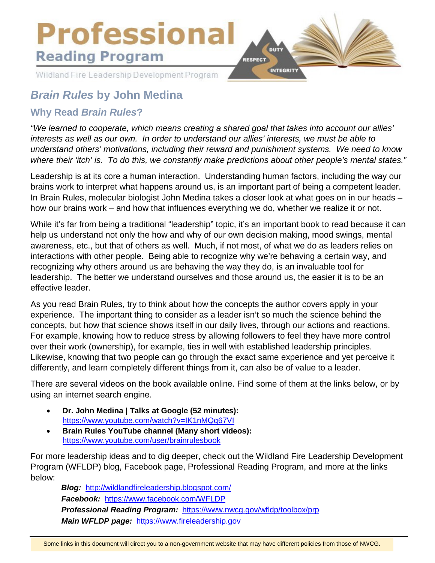# **Professional Reading Program**

Wildland Fire Leadership Development Program



# *Brain Rules* **by John Medina**

### **Why Read** *Brain Rules***?**

*"We learned to cooperate, which means creating a shared goal that takes into account our allies' interests as well as our own. In order to understand our allies' interests, we must be able to understand others' motivations, including their reward and punishment systems. We need to know where their 'itch' is. To do this, we constantly make predictions about other people's mental states."*

Leadership is at its core a human interaction. Understanding human factors, including the way our brains work to interpret what happens around us, is an important part of being a competent leader. In Brain Rules, molecular biologist John Medina takes a closer look at what goes on in our heads – how our brains work – and how that influences everything we do, whether we realize it or not.

While it's far from being a traditional "leadership" topic, it's an important book to read because it can help us understand not only the how and why of our own decision making, mood swings, mental awareness, etc., but that of others as well. Much, if not most, of what we do as leaders relies on interactions with other people. Being able to recognize why we're behaving a certain way, and recognizing why others around us are behaving the way they do, is an invaluable tool for leadership. The better we understand ourselves and those around us, the easier it is to be an effective leader.

As you read Brain Rules, try to think about how the concepts the author covers apply in your experience. The important thing to consider as a leader isn't so much the science behind the concepts, but how that science shows itself in our daily lives, through our actions and reactions. For example, knowing how to reduce stress by allowing followers to feel they have more control over their work (ownership), for example, ties in well with established leadership principles. Likewise, knowing that two people can go through the exact same experience and yet perceive it differently, and learn completely different things from it, can also be of value to a leader.

There are several videos on the book available online. Find some of them at the links below, or by using an internet search engine.

- **Dr. John Medina | Talks at Google (52 minutes):** <https://www.youtube.com/watch?v=IK1nMQq67VI>
- **Brain Rules YouTube channel (Many short videos):** <https://www.youtube.com/user/brainrulesbook>

For more leadership ideas and to dig deeper, check out the Wildland Fire Leadership Development Program (WFLDP) blog, Facebook page, Professional Reading Program, and more at the links below:

*Blog:* <http://wildlandfireleadership.blogspot.com/> *Facebook:* <https://www.facebook.com/WFLDP> *Professional Reading Program:* <https://www.nwcg.gov/wfldp/toolbox/prp> *Main WFLDP page:* [https://www.fireleadership.gov](https://www.fireleadership.gov/)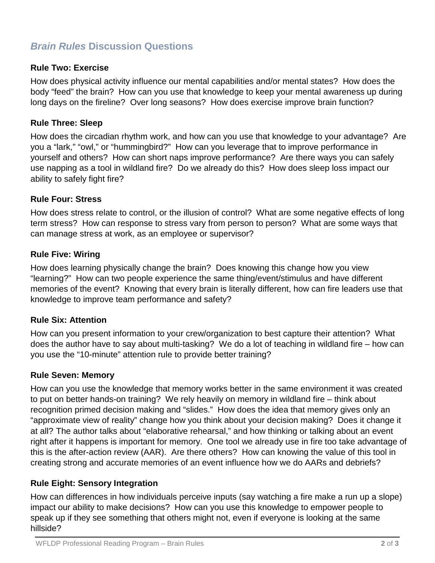## *Brain Rules* **Discussion Questions**

#### **Rule Two: Exercise**

How does physical activity influence our mental capabilities and/or mental states? How does the body "feed" the brain? How can you use that knowledge to keep your mental awareness up during long days on the fireline? Over long seasons? How does exercise improve brain function?

#### **Rule Three: Sleep**

How does the circadian rhythm work, and how can you use that knowledge to your advantage? Are you a "lark," "owl," or "hummingbird?" How can you leverage that to improve performance in yourself and others? How can short naps improve performance? Are there ways you can safely use napping as a tool in wildland fire? Do we already do this? How does sleep loss impact our ability to safely fight fire?

#### **Rule Four: Stress**

How does stress relate to control, or the illusion of control? What are some negative effects of long term stress? How can response to stress vary from person to person? What are some ways that can manage stress at work, as an employee or supervisor?

#### **Rule Five: Wiring**

How does learning physically change the brain? Does knowing this change how you view "learning?" How can two people experience the same thing/event/stimulus and have different memories of the event? Knowing that every brain is literally different, how can fire leaders use that knowledge to improve team performance and safety?

#### **Rule Six: Attention**

How can you present information to your crew/organization to best capture their attention? What does the author have to say about multi-tasking? We do a lot of teaching in wildland fire – how can you use the "10-minute" attention rule to provide better training?

#### **Rule Seven: Memory**

How can you use the knowledge that memory works better in the same environment it was created to put on better hands-on training? We rely heavily on memory in wildland fire – think about recognition primed decision making and "slides." How does the idea that memory gives only an "approximate view of reality" change how you think about your decision making? Does it change it at all? The author talks about "elaborative rehearsal," and how thinking or talking about an event right after it happens is important for memory. One tool we already use in fire too take advantage of this is the after-action review (AAR). Are there others? How can knowing the value of this tool in creating strong and accurate memories of an event influence how we do AARs and debriefs?

#### **Rule Eight: Sensory Integration**

How can differences in how individuals perceive inputs (say watching a fire make a run up a slope) impact our ability to make decisions? How can you use this knowledge to empower people to speak up if they see something that others might not, even if everyone is looking at the same hillside?